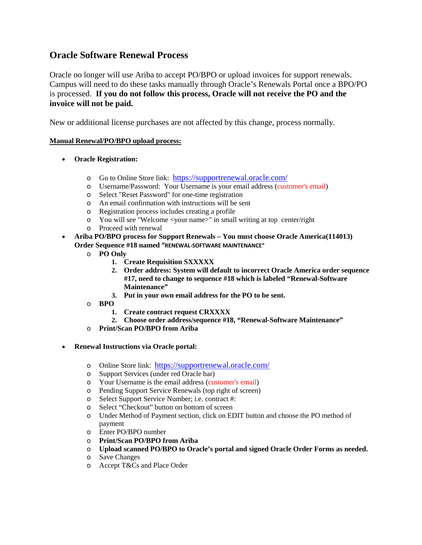## **Oracle Software Renewal Process**

Oracle no longer will use Ariba to accept PO/BPO or upload invoices for support renewals. Campus will need to do these tasks manually through Oracle's Renewals Portal once a BPO/PO is processed. **If you do not follow this process, Oracle will not receive the PO and the invoice will not be paid.**

New or additional license purchases are not affected by this change, process normally.

## **Manual Renewal/PO/BPO upload process:**

- **Oracle Registration:**
	- o Go to Online Store link: <https://supportrenewal.oracle.com/>
	- o Username/Password: Your Username is your email address (customer's email)
	- o Select "Reset Password" for one-time registration
	- o An email confirmation with instructions will be sent
	- o Registration process includes creating a profile
	- o You will see "Welcome <your name>" in small writing at top center/right
	- o Proceed with renewal
- **Ariba PO/BPO process for Support Renewals – You must choose Oracle America(114013) Order Sequence #18 named "RENEWAL-SOFTWARE MAINTENANCE"**
	- o **PO Only**
		- **1. Create Requisition SXXXXX**
		- **2. Order address: System will default to incorrect Oracle America order sequence #17, need to change to sequence #18 which is labeled "Renewal-Software Maintenance"**
		- **3. Put in your own email address for the PO to be sent.**
	- o **BPO**
		- **1. Create contract request CRXXXX**
		- **2. Choose order address/sequence #18, "Renewal-Software Maintenance"**
	- o **Print/Scan PO/BPO from Ariba**
- **Renewal Instructions via Oracle portal:**
	- o Online Store link: <https://supportrenewal.oracle.com/><br>
	o Support Services (under red Oracle bar)
	- Support Services (under red Oracle bar)
	- o Your Username is the email address (customer's email)
	- o Pending Support Service Renewals (top right of screen)
	- o Select Support Service Number; i.e. contract #:
	- o Select "Checkout" button on bottom of screen
	- o Under Method of Payment section, click on EDIT button and choose the PO method of payment
	- o Enter PO/BPO number
	- o **Print/Scan PO/BPO from Ariba**
	- o **Upload scanned PO/BPO to Oracle's portal and signed Oracle Order Forms as needed.**
	- o Save Changes
	- o Accept T&Cs and Place Order